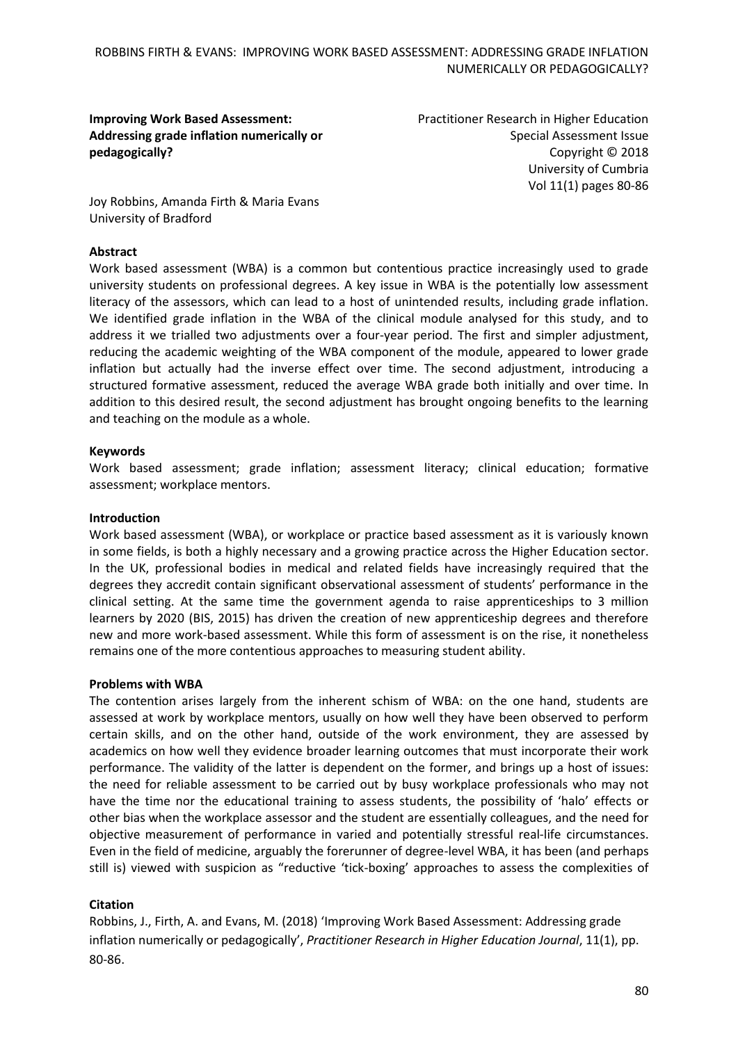# **Improving Work Based Assessment: Addressing grade inflation numerically or pedagogically?**

Practitioner Research in Higher Education Special Assessment Issue Copyright © 2018 University of Cumbria Vol 11(1) pages 80-86

Joy Robbins, Amanda Firth & Maria Evans University of Bradford

# **Abstract**

Work based assessment (WBA) is a common but contentious practice increasingly used to grade university students on professional degrees. A key issue in WBA is the potentially low assessment literacy of the assessors, which can lead to a host of unintended results, including grade inflation. We identified grade inflation in the WBA of the clinical module analysed for this study, and to address it we trialled two adjustments over a four-year period. The first and simpler adjustment, reducing the academic weighting of the WBA component of the module, appeared to lower grade inflation but actually had the inverse effect over time. The second adjustment, introducing a structured formative assessment, reduced the average WBA grade both initially and over time. In addition to this desired result, the second adjustment has brought ongoing benefits to the learning and teaching on the module as a whole.

# **Keywords**

Work based assessment; grade inflation; assessment literacy; clinical education; formative assessment; workplace mentors.

# **Introduction**

Work based assessment (WBA), or workplace or practice based assessment as it is variously known in some fields, is both a highly necessary and a growing practice across the Higher Education sector. In the UK, professional bodies in medical and related fields have increasingly required that the degrees they accredit contain significant observational assessment of students' performance in the clinical setting. At the same time the government agenda to raise apprenticeships to 3 million learners by 2020 (BIS, 2015) has driven the creation of new apprenticeship degrees and therefore new and more work-based assessment. While this form of assessment is on the rise, it nonetheless remains one of the more contentious approaches to measuring student ability.

### **Problems with WBA**

The contention arises largely from the inherent schism of WBA: on the one hand, students are assessed at work by workplace mentors, usually on how well they have been observed to perform certain skills, and on the other hand, outside of the work environment, they are assessed by academics on how well they evidence broader learning outcomes that must incorporate their work performance. The validity of the latter is dependent on the former, and brings up a host of issues: the need for reliable assessment to be carried out by busy workplace professionals who may not have the time nor the educational training to assess students, the possibility of 'halo' effects or other bias when the workplace assessor and the student are essentially colleagues, and the need for objective measurement of performance in varied and potentially stressful real-life circumstances. Even in the field of medicine, arguably the forerunner of degree-level WBA, it has been (and perhaps still is) viewed with suspicion as "reductive 'tick-boxing' approaches to assess the complexities of

# **Citation**

Robbins, J., Firth, A. and Evans, M. (2018) 'Improving Work Based Assessment: Addressing grade inflation numerically or pedagogically', *Practitioner Research in Higher Education Journal*, 11(1), pp. 80-86.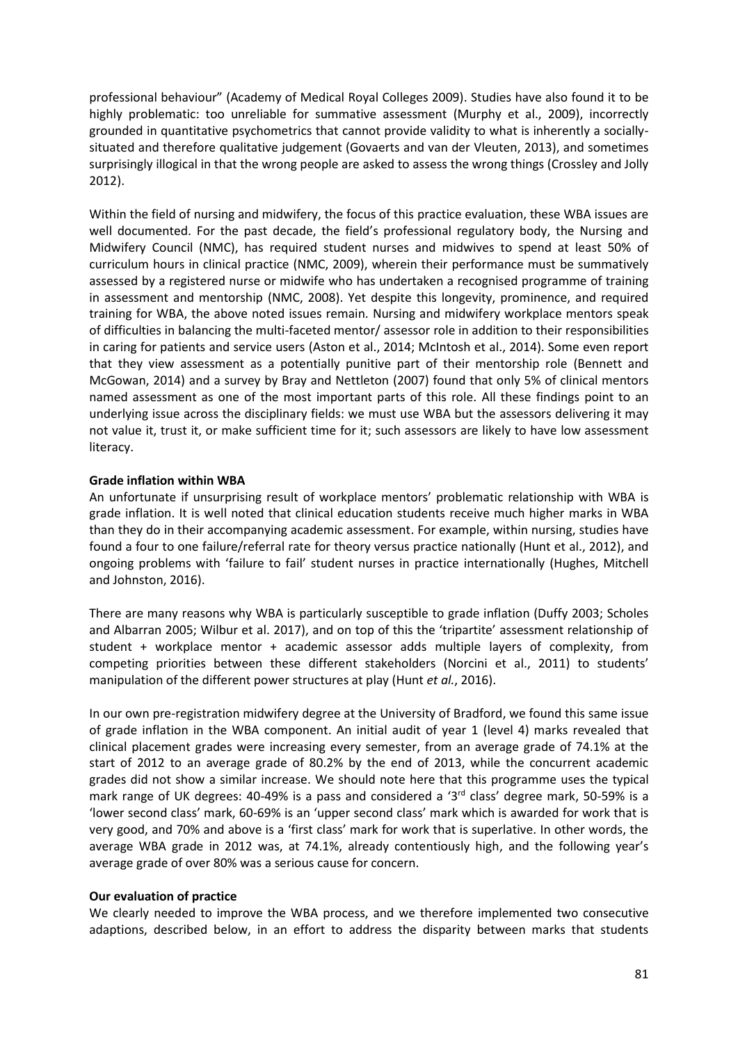professional behaviour" (Academy of Medical Royal Colleges 2009). Studies have also found it to be highly problematic: too unreliable for summative assessment (Murphy et al., 2009), incorrectly grounded in quantitative psychometrics that cannot provide validity to what is inherently a sociallysituated and therefore qualitative judgement (Govaerts and van der Vleuten, 2013), and sometimes surprisingly illogical in that the wrong people are asked to assess the wrong things (Crossley and Jolly 2012).

Within the field of nursing and midwifery, the focus of this practice evaluation, these WBA issues are well documented. For the past decade, the field's professional regulatory body, the Nursing and Midwifery Council (NMC), has required student nurses and midwives to spend at least 50% of curriculum hours in clinical practice (NMC, 2009), wherein their performance must be summatively assessed by a registered nurse or midwife who has undertaken a recognised programme of training in assessment and mentorship (NMC, 2008). Yet despite this longevity, prominence, and required training for WBA, the above noted issues remain. Nursing and midwifery workplace mentors speak of difficulties in balancing the multi-faceted mentor/ assessor role in addition to their responsibilities in caring for patients and service users (Aston et al., 2014; McIntosh et al., 2014). Some even report that they view assessment as a potentially punitive part of their mentorship role (Bennett and McGowan, 2014) and a survey by Bray and Nettleton (2007) found that only 5% of clinical mentors named assessment as one of the most important parts of this role. All these findings point to an underlying issue across the disciplinary fields: we must use WBA but the assessors delivering it may not value it, trust it, or make sufficient time for it; such assessors are likely to have low assessment literacy.

# **Grade inflation within WBA**

An unfortunate if unsurprising result of workplace mentors' problematic relationship with WBA is grade inflation. It is well noted that clinical education students receive much higher marks in WBA than they do in their accompanying academic assessment. For example, within nursing, studies have found a four to one failure/referral rate for theory versus practice nationally (Hunt et al., 2012), and ongoing problems with 'failure to fail' student nurses in practice internationally (Hughes, Mitchell and Johnston, 2016).

There are many reasons why WBA is particularly susceptible to grade inflation (Duffy 2003; Scholes and Albarran 2005; Wilbur et al. 2017), and on top of this the 'tripartite' assessment relationship of student + workplace mentor + academic assessor adds multiple layers of complexity, from competing priorities between these different stakeholders (Norcini et al., 2011) to students' manipulation of the different power structures at play (Hunt *et al.*, 2016).

In our own pre-registration midwifery degree at the University of Bradford, we found this same issue of grade inflation in the WBA component. An initial audit of year 1 (level 4) marks revealed that clinical placement grades were increasing every semester, from an average grade of 74.1% at the start of 2012 to an average grade of 80.2% by the end of 2013, while the concurrent academic grades did not show a similar increase. We should note here that this programme uses the typical mark range of UK degrees:  $40-49\%$  is a pass and considered a '3<sup>rd</sup> class' degree mark, 50-59% is a 'lower second class' mark, 60-69% is an 'upper second class' mark which is awarded for work that is very good, and 70% and above is a 'first class' mark for work that is superlative. In other words, the average WBA grade in 2012 was, at 74.1%, already contentiously high, and the following year's average grade of over 80% was a serious cause for concern.

### **Our evaluation of practice**

We clearly needed to improve the WBA process, and we therefore implemented two consecutive adaptions, described below, in an effort to address the disparity between marks that students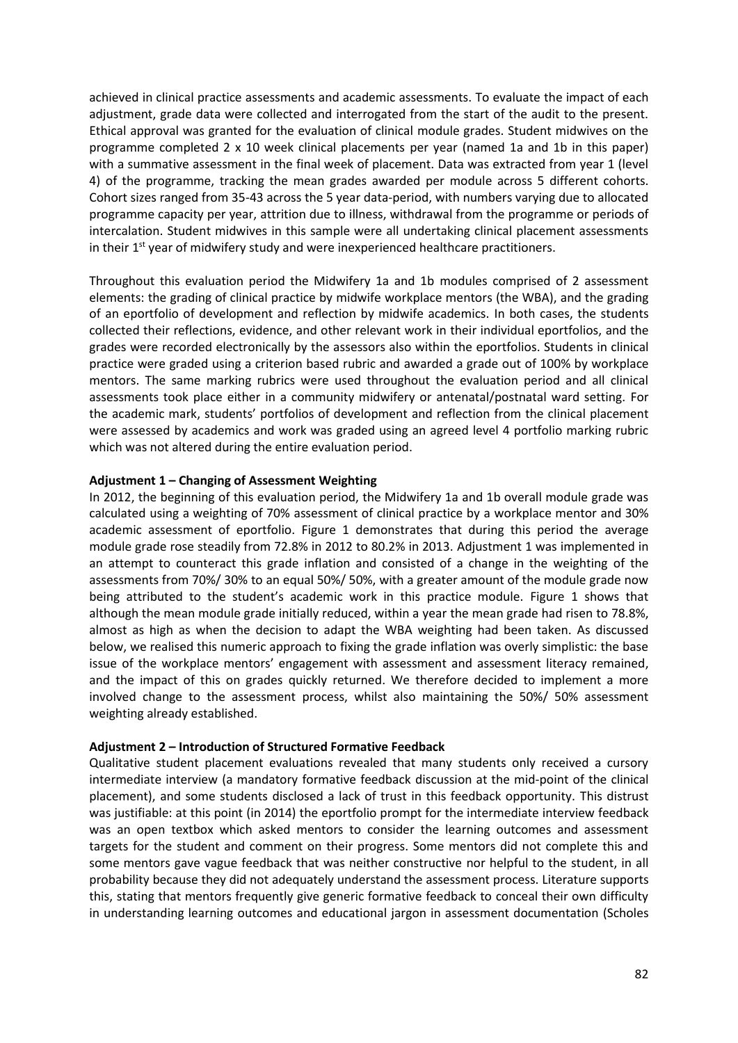achieved in clinical practice assessments and academic assessments. To evaluate the impact of each adjustment, grade data were collected and interrogated from the start of the audit to the present. Ethical approval was granted for the evaluation of clinical module grades. Student midwives on the programme completed 2 x 10 week clinical placements per year (named 1a and 1b in this paper) with a summative assessment in the final week of placement. Data was extracted from year 1 (level 4) of the programme, tracking the mean grades awarded per module across 5 different cohorts. Cohort sizes ranged from 35-43 across the 5 year data-period, with numbers varying due to allocated programme capacity per year, attrition due to illness, withdrawal from the programme or periods of intercalation. Student midwives in this sample were all undertaking clinical placement assessments in their  $1<sup>st</sup>$  year of midwifery study and were inexperienced healthcare practitioners.

Throughout this evaluation period the Midwifery 1a and 1b modules comprised of 2 assessment elements: the grading of clinical practice by midwife workplace mentors (the WBA), and the grading of an eportfolio of development and reflection by midwife academics. In both cases, the students collected their reflections, evidence, and other relevant work in their individual eportfolios, and the grades were recorded electronically by the assessors also within the eportfolios. Students in clinical practice were graded using a criterion based rubric and awarded a grade out of 100% by workplace mentors. The same marking rubrics were used throughout the evaluation period and all clinical assessments took place either in a community midwifery or antenatal/postnatal ward setting. For the academic mark, students' portfolios of development and reflection from the clinical placement were assessed by academics and work was graded using an agreed level 4 portfolio marking rubric which was not altered during the entire evaluation period.

### **Adjustment 1 – Changing of Assessment Weighting**

In 2012, the beginning of this evaluation period, the Midwifery 1a and 1b overall module grade was calculated using a weighting of 70% assessment of clinical practice by a workplace mentor and 30% academic assessment of eportfolio. Figure 1 demonstrates that during this period the average module grade rose steadily from 72.8% in 2012 to 80.2% in 2013. Adjustment 1 was implemented in an attempt to counteract this grade inflation and consisted of a change in the weighting of the assessments from 70%/ 30% to an equal 50%/ 50%, with a greater amount of the module grade now being attributed to the student's academic work in this practice module. Figure 1 shows that although the mean module grade initially reduced, within a year the mean grade had risen to 78.8%, almost as high as when the decision to adapt the WBA weighting had been taken. As discussed below, we realised this numeric approach to fixing the grade inflation was overly simplistic: the base issue of the workplace mentors' engagement with assessment and assessment literacy remained, and the impact of this on grades quickly returned. We therefore decided to implement a more involved change to the assessment process, whilst also maintaining the 50%/ 50% assessment weighting already established.

#### **Adjustment 2 – Introduction of Structured Formative Feedback**

Qualitative student placement evaluations revealed that many students only received a cursory intermediate interview (a mandatory formative feedback discussion at the mid-point of the clinical placement), and some students disclosed a lack of trust in this feedback opportunity. This distrust was justifiable: at this point (in 2014) the eportfolio prompt for the intermediate interview feedback was an open textbox which asked mentors to consider the learning outcomes and assessment targets for the student and comment on their progress. Some mentors did not complete this and some mentors gave vague feedback that was neither constructive nor helpful to the student, in all probability because they did not adequately understand the assessment process. Literature supports this, stating that mentors frequently give generic formative feedback to conceal their own difficulty in understanding learning outcomes and educational jargon in assessment documentation (Scholes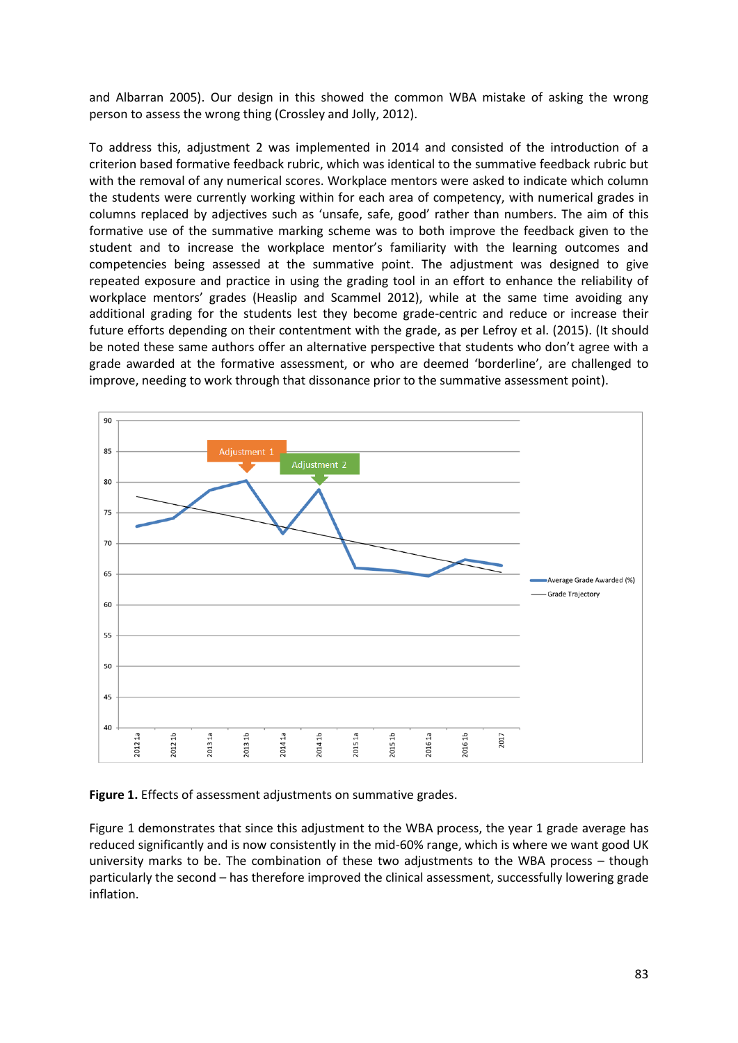and Albarran 2005). Our design in this showed the common WBA mistake of asking the wrong person to assess the wrong thing (Crossley and Jolly, 2012).

To address this, adjustment 2 was implemented in 2014 and consisted of the introduction of a criterion based formative feedback rubric, which was identical to the summative feedback rubric but with the removal of any numerical scores. Workplace mentors were asked to indicate which column the students were currently working within for each area of competency, with numerical grades in columns replaced by adjectives such as 'unsafe, safe, good' rather than numbers. The aim of this formative use of the summative marking scheme was to both improve the feedback given to the student and to increase the workplace mentor's familiarity with the learning outcomes and competencies being assessed at the summative point. The adjustment was designed to give repeated exposure and practice in using the grading tool in an effort to enhance the reliability of workplace mentors' grades (Heaslip and Scammel 2012), while at the same time avoiding any additional grading for the students lest they become grade-centric and reduce or increase their future efforts depending on their contentment with the grade, as per Lefroy et al. (2015). (It should be noted these same authors offer an alternative perspective that students who don't agree with a grade awarded at the formative assessment, or who are deemed 'borderline', are challenged to improve, needing to work through that dissonance prior to the summative assessment point).



**Figure 1.** Effects of assessment adjustments on summative grades.

Figure 1 demonstrates that since this adjustment to the WBA process, the year 1 grade average has reduced significantly and is now consistently in the mid-60% range, which is where we want good UK university marks to be. The combination of these two adjustments to the WBA process – though particularly the second – has therefore improved the clinical assessment, successfully lowering grade inflation.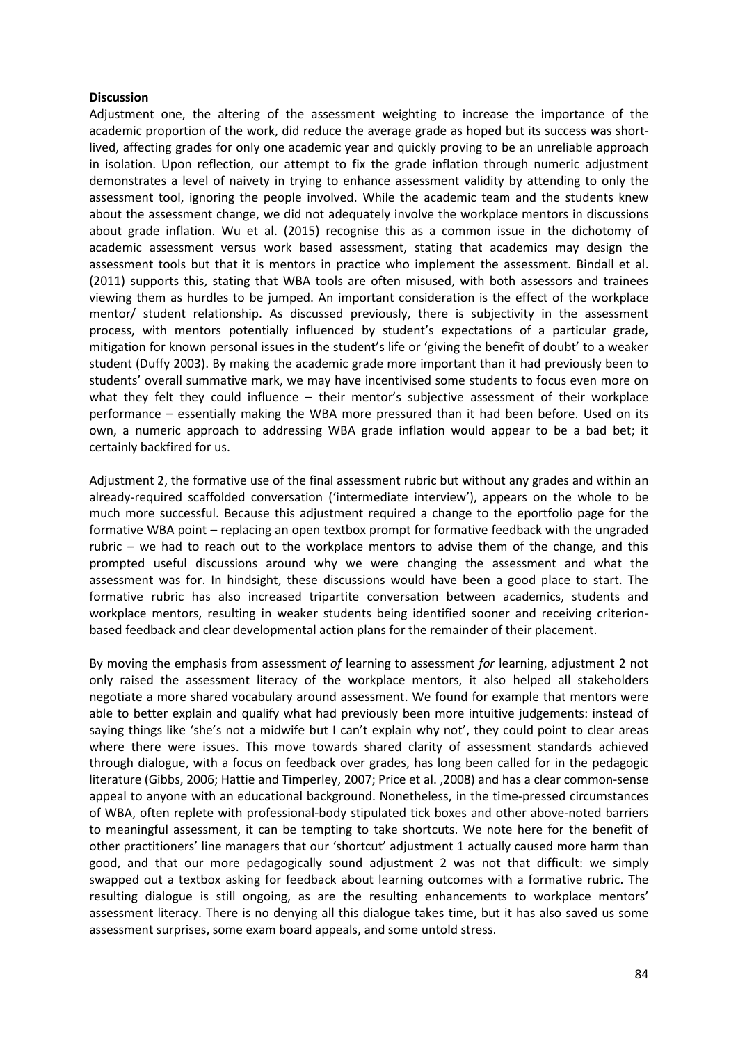### **Discussion**

Adjustment one, the altering of the assessment weighting to increase the importance of the academic proportion of the work, did reduce the average grade as hoped but its success was shortlived, affecting grades for only one academic year and quickly proving to be an unreliable approach in isolation. Upon reflection, our attempt to fix the grade inflation through numeric adjustment demonstrates a level of naivety in trying to enhance assessment validity by attending to only the assessment tool, ignoring the people involved. While the academic team and the students knew about the assessment change, we did not adequately involve the workplace mentors in discussions about grade inflation. Wu et al. (2015) recognise this as a common issue in the dichotomy of academic assessment versus work based assessment, stating that academics may design the assessment tools but that it is mentors in practice who implement the assessment. Bindall et al. (2011) supports this, stating that WBA tools are often misused, with both assessors and trainees viewing them as hurdles to be jumped. An important consideration is the effect of the workplace mentor/ student relationship. As discussed previously, there is subjectivity in the assessment process, with mentors potentially influenced by student's expectations of a particular grade, mitigation for known personal issues in the student's life or 'giving the benefit of doubt' to a weaker student (Duffy 2003). By making the academic grade more important than it had previously been to students' overall summative mark, we may have incentivised some students to focus even more on what they felt they could influence – their mentor's subjective assessment of their workplace performance – essentially making the WBA more pressured than it had been before. Used on its own, a numeric approach to addressing WBA grade inflation would appear to be a bad bet; it certainly backfired for us.

Adjustment 2, the formative use of the final assessment rubric but without any grades and within an already-required scaffolded conversation ('intermediate interview'), appears on the whole to be much more successful. Because this adjustment required a change to the eportfolio page for the formative WBA point – replacing an open textbox prompt for formative feedback with the ungraded rubric – we had to reach out to the workplace mentors to advise them of the change, and this prompted useful discussions around why we were changing the assessment and what the assessment was for. In hindsight, these discussions would have been a good place to start. The formative rubric has also increased tripartite conversation between academics, students and workplace mentors, resulting in weaker students being identified sooner and receiving criterionbased feedback and clear developmental action plans for the remainder of their placement.

By moving the emphasis from assessment *of* learning to assessment *for* learning, adjustment 2 not only raised the assessment literacy of the workplace mentors, it also helped all stakeholders negotiate a more shared vocabulary around assessment. We found for example that mentors were able to better explain and qualify what had previously been more intuitive judgements: instead of saying things like 'she's not a midwife but I can't explain why not', they could point to clear areas where there were issues. This move towards shared clarity of assessment standards achieved through dialogue, with a focus on feedback over grades, has long been called for in the pedagogic literature (Gibbs, 2006; Hattie and Timperley, 2007; Price et al. ,2008) and has a clear common-sense appeal to anyone with an educational background. Nonetheless, in the time-pressed circumstances of WBA, often replete with professional-body stipulated tick boxes and other above-noted barriers to meaningful assessment, it can be tempting to take shortcuts. We note here for the benefit of other practitioners' line managers that our 'shortcut' adjustment 1 actually caused more harm than good, and that our more pedagogically sound adjustment 2 was not that difficult: we simply swapped out a textbox asking for feedback about learning outcomes with a formative rubric. The resulting dialogue is still ongoing, as are the resulting enhancements to workplace mentors' assessment literacy. There is no denying all this dialogue takes time, but it has also saved us some assessment surprises, some exam board appeals, and some untold stress.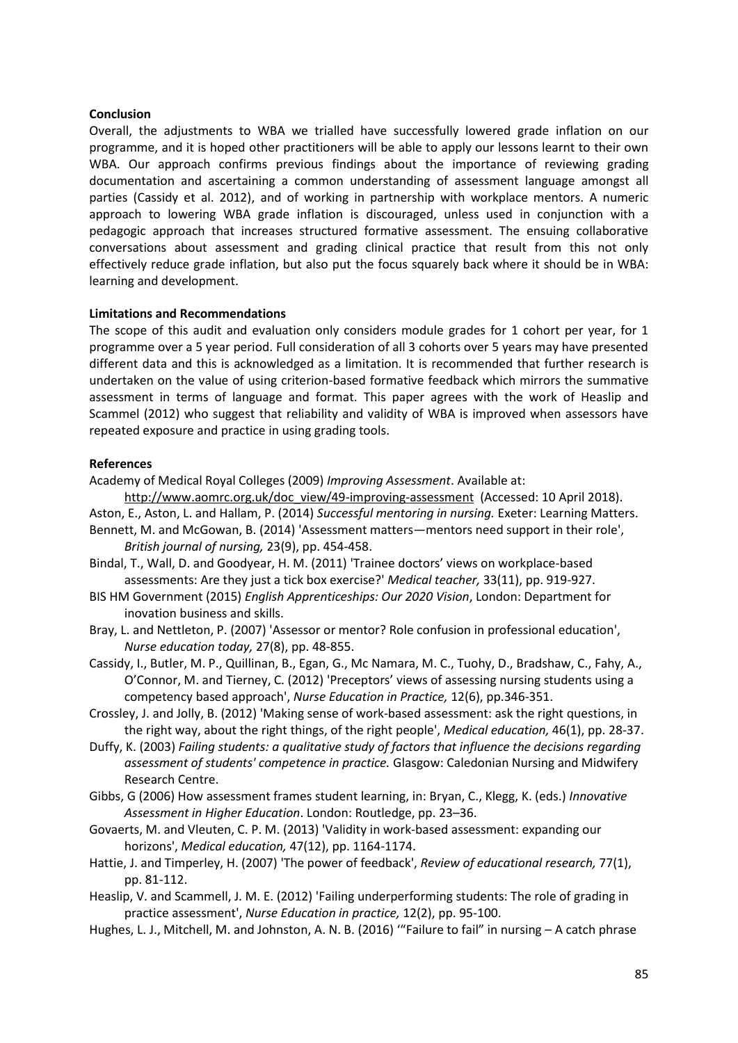### **Conclusion**

Overall, the adjustments to WBA we trialled have successfully lowered grade inflation on our programme, and it is hoped other practitioners will be able to apply our lessons learnt to their own WBA. Our approach confirms previous findings about the importance of reviewing grading documentation and ascertaining a common understanding of assessment language amongst all parties (Cassidy et al. 2012), and of working in partnership with workplace mentors. A numeric approach to lowering WBA grade inflation is discouraged, unless used in conjunction with a pedagogic approach that increases structured formative assessment. The ensuing collaborative conversations about assessment and grading clinical practice that result from this not only effectively reduce grade inflation, but also put the focus squarely back where it should be in WBA: learning and development.

### **Limitations and Recommendations**

The scope of this audit and evaluation only considers module grades for 1 cohort per year, for 1 programme over a 5 year period. Full consideration of all 3 cohorts over 5 years may have presented different data and this is acknowledged as a limitation. It is recommended that further research is undertaken on the value of using criterion-based formative feedback which mirrors the summative assessment in terms of language and format. This paper agrees with the work of Heaslip and Scammel (2012) who suggest that reliability and validity of WBA is improved when assessors have repeated exposure and practice in using grading tools.

#### **References**

- Academy of Medical Royal Colleges (2009) *Improving Assessment*. Available at:
- [http://www.aomrc.org.uk/doc\\_view/49-improving-assessment](http://www.aomrc.org.uk/doc_view/49-improving-assessment) (Accessed: 10 April 2018). Aston, E., Aston, L. and Hallam, P. (2014) *Successful mentoring in nursing.* Exeter: Learning Matters.
- Bennett, M. and McGowan, B. (2014) 'Assessment matters—mentors need support in their role', *British journal of nursing,* 23(9), pp. 454-458.
- Bindal, T., Wall, D. and Goodyear, H. M. (2011) 'Trainee doctors' views on workplace-based assessments: Are they just a tick box exercise?' *Medical teacher,* 33(11), pp. 919-927.
- BIS HM Government (2015) *English Apprenticeships: Our 2020 Vision*, London: Department for inovation business and skills.
- Bray, L. and Nettleton, P. (2007) 'Assessor or mentor? Role confusion in professional education', *Nurse education today,* 27(8), pp. 48-855.
- Cassidy, I., Butler, M. P., Quillinan, B., Egan, G., Mc Namara, M. C., Tuohy, D., Bradshaw, C., Fahy, A., O'Connor, M. and Tierney, C. (2012) 'Preceptors' views of assessing nursing students using a competency based approach', *Nurse Education in Practice,* 12(6), pp.346-351.
- Crossley, J. and Jolly, B. (2012) 'Making sense of work‐based assessment: ask the right questions, in the right way, about the right things, of the right people', *Medical education,* 46(1), pp. 28-37.
- Duffy, K. (2003) *Failing students: a qualitative study of factors that influence the decisions regarding assessment of students' competence in practice.* Glasgow: Caledonian Nursing and Midwifery Research Centre.
- Gibbs, G (2006) How assessment frames student learning, in: Bryan, C., Klegg, K. (eds.) *Innovative Assessment in Higher Education*. London: Routledge, pp. 23–36.
- Govaerts, M. and Vleuten, C. P. M. (2013) 'Validity in work‐based assessment: expanding our horizons', *Medical education,* 47(12), pp. 1164-1174.
- Hattie, J. and Timperley, H. (2007) 'The power of feedback', *Review of educational research,* 77(1), pp. 81-112.
- Heaslip, V. and Scammell, J. M. E. (2012) 'Failing underperforming students: The role of grading in practice assessment', *Nurse Education in practice,* 12(2), pp. 95-100.
- Hughes, L. J., Mitchell, M. and Johnston, A. N. B. (2016) '"Failure to fail" in nursing A catch phrase